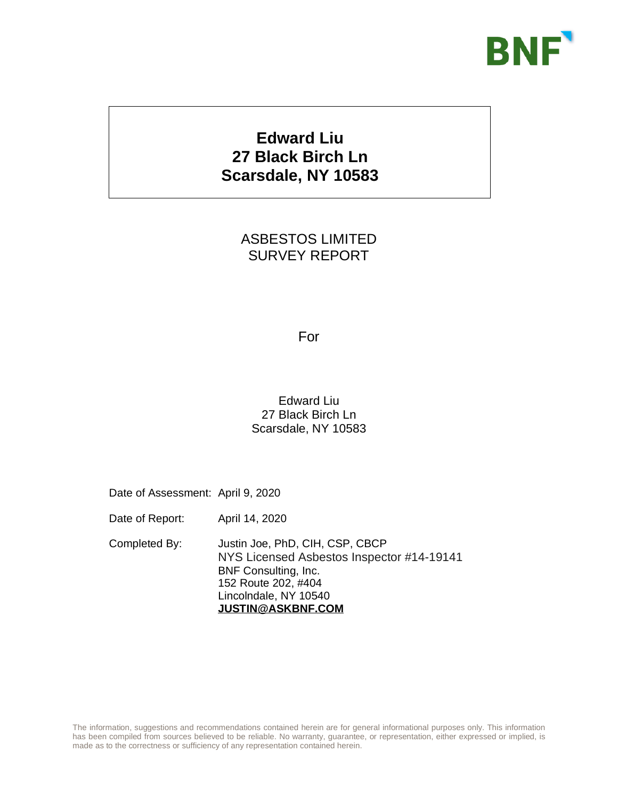

# **Edward Liu 27 Black Birch Ln Scarsdale, NY 10583**

ASBESTOS LIMITED SURVEY REPORT

#### For

#### Edward Liu 27 Black Birch Ln Scarsdale, NY 10583

Date of Assessment: April 9, 2020

**Global Loss Prevention**

Date of Report: April 14, 2020

Completed By: Justin Joe, PhD, CIH, CSP, CBCP NYS Licensed Asbestos Inspector #14-19141 BNF Consulting, Inc. 152 Route 202, #404 Lincolndale, NY 10540 **[JUSTIN@ASKBNF.COM](mailto:Justing@askbnf.com)**

The information, suggestions and recommendations contained herein are for general informational purposes only. This information has been compiled from sources believed to be reliable. No warranty, guarantee, or representation, either expressed or implied, is made as to the correctness or sufficiency of any representation contained herein.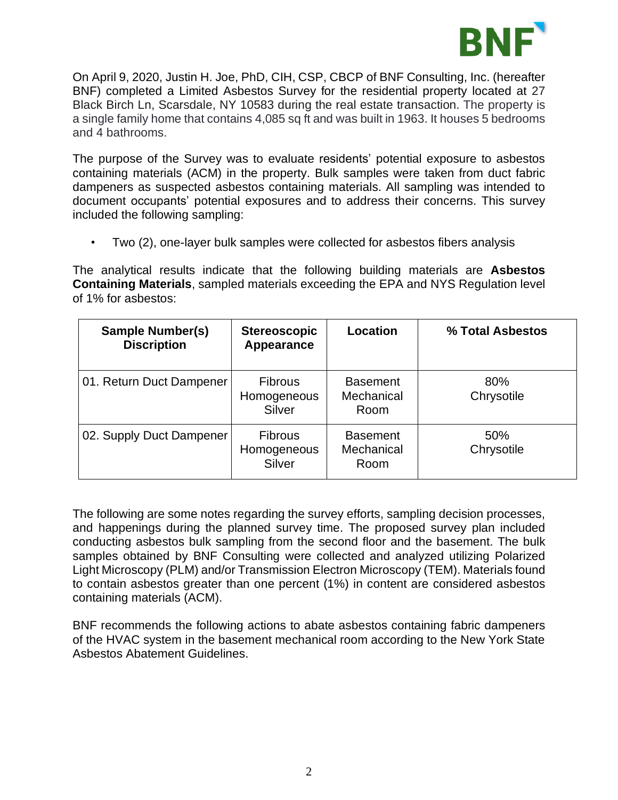

On April 9, 2020, Justin H. Joe, PhD, CIH, CSP, CBCP of BNF Consulting, Inc. (hereafter BNF) completed a Limited Asbestos Survey for the residential property located at 27 Black Birch Ln, Scarsdale, NY 10583 during the real estate transaction. The property is a single family home that contains 4,085 sq ft and was built in 1963. It houses 5 bedrooms and 4 bathrooms.

The purpose of the Survey was to evaluate residents' potential exposure to asbestos containing materials (ACM) in the property. Bulk samples were taken from duct fabric dampeners as suspected asbestos containing materials. All sampling was intended to document occupants' potential exposures and to address their concerns. This survey included the following sampling:

• Two (2), one-layer bulk samples were collected for asbestos fibers analysis

The analytical results indicate that the following building materials are **Asbestos Containing Materials**, sampled materials exceeding the EPA and NYS Regulation level of 1% for asbestos:

| <b>Sample Number(s)</b><br><b>Discription</b> | <b>Stereoscopic</b><br>Appearance       | Location                              | % Total Asbestos  |
|-----------------------------------------------|-----------------------------------------|---------------------------------------|-------------------|
| 01. Return Duct Dampener                      | <b>Fibrous</b><br>Homogeneous<br>Silver | <b>Basement</b><br>Mechanical<br>Room | 80%<br>Chrysotile |
| 02. Supply Duct Dampener                      | <b>Fibrous</b><br>Homogeneous<br>Silver | <b>Basement</b><br>Mechanical<br>Room | 50%<br>Chrysotile |

The following are some notes regarding the survey efforts, sampling decision processes, and happenings during the planned survey time. The proposed survey plan included conducting asbestos bulk sampling from the second floor and the basement. The bulk samples obtained by BNF Consulting were collected and analyzed utilizing Polarized Light Microscopy (PLM) and/or Transmission Electron Microscopy (TEM). Materials found to contain asbestos greater than one percent (1%) in content are considered asbestos containing materials (ACM).

BNF recommends the following actions to abate asbestos containing fabric dampeners of the HVAC system in the basement mechanical room according to the New York State Asbestos Abatement Guidelines.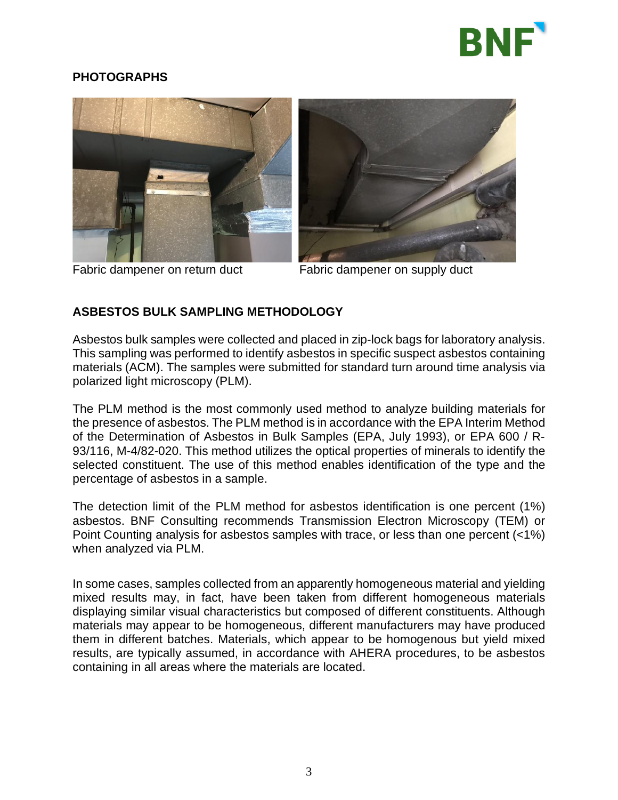

# **PHOTOGRAPHS**





Fabric dampener on return duct Fabric dampener on supply duct

## **ASBESTOS BULK SAMPLING METHODOLOGY**

Asbestos bulk samples were collected and placed in zip-lock bags for laboratory analysis. This sampling was performed to identify asbestos in specific suspect asbestos containing materials (ACM). The samples were submitted for standard turn around time analysis via polarized light microscopy (PLM).

The PLM method is the most commonly used method to analyze building materials for the presence of asbestos. The PLM method is in accordance with the EPA Interim Method of the Determination of Asbestos in Bulk Samples (EPA, July 1993), or EPA 600 / R-93/116, M-4/82-020. This method utilizes the optical properties of minerals to identify the selected constituent. The use of this method enables identification of the type and the percentage of asbestos in a sample.

The detection limit of the PLM method for asbestos identification is one percent (1%) asbestos. BNF Consulting recommends Transmission Electron Microscopy (TEM) or Point Counting analysis for asbestos samples with trace, or less than one percent (<1%) when analyzed via PLM.

In some cases, samples collected from an apparently homogeneous material and yielding mixed results may, in fact, have been taken from different homogeneous materials displaying similar visual characteristics but composed of different constituents. Although materials may appear to be homogeneous, different manufacturers may have produced them in different batches. Materials, which appear to be homogenous but yield mixed results, are typically assumed, in accordance with AHERA procedures, to be asbestos containing in all areas where the materials are located.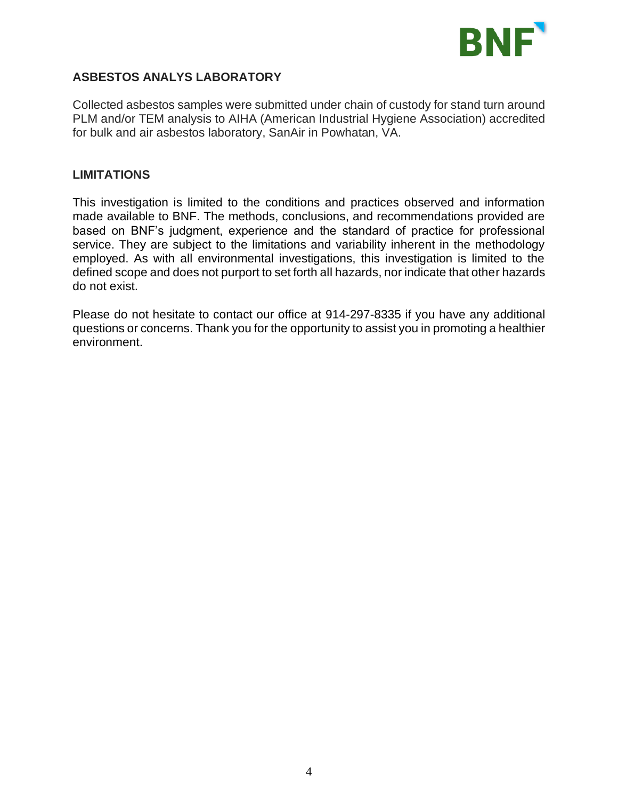

# **ASBESTOS ANALYS LABORATORY**

Collected asbestos samples were submitted under chain of custody for stand turn around PLM and/or TEM analysis to AIHA (American Industrial Hygiene Association) accredited for bulk and air asbestos laboratory, SanAir in Powhatan, VA.

#### **LIMITATIONS**

This investigation is limited to the conditions and practices observed and information made available to BNF. The methods, conclusions, and recommendations provided are based on BNF's judgment, experience and the standard of practice for professional service. They are subject to the limitations and variability inherent in the methodology employed. As with all environmental investigations, this investigation is limited to the defined scope and does not purport to set forth all hazards, nor indicate that other hazards do not exist.

Please do not hesitate to contact our office at 914-297-8335 if you have any additional questions or concerns. Thank you for the opportunity to assist you in promoting a healthier environment.